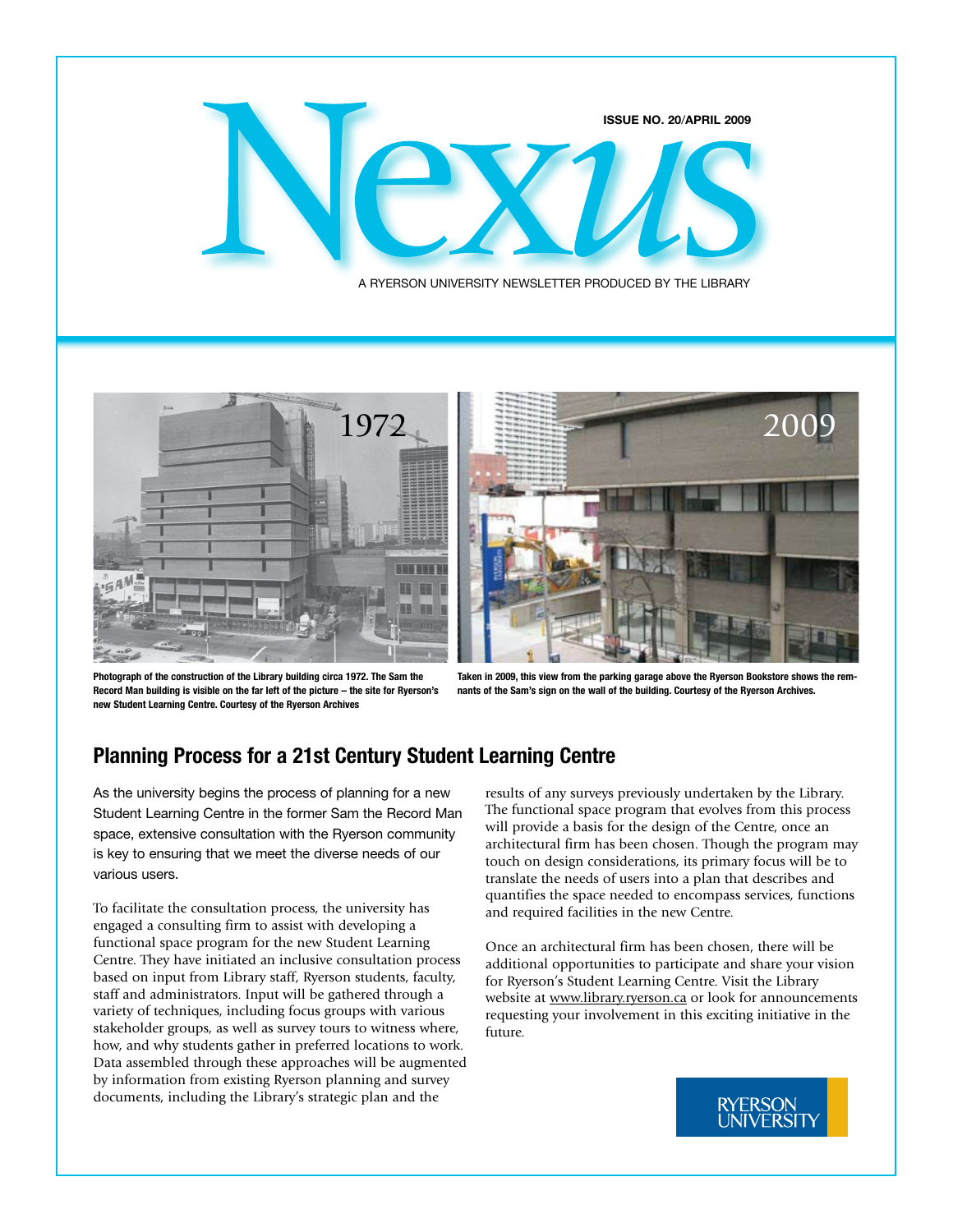





**Photograph of the construction of the Library building circa 1972. The Sam the Record Man building is visible on the far left of the picture – the site for Ryerson's new Student Learning Centre. Courtesy of the Ryerson Archives**

**Taken in 2009, this view from the parking garage above the Ryerson Bookstore shows the remnants of the Sam's sign on the wall of the building. Courtesy of the Ryerson Archives.**

# **Planning Process for a 21st Century Student Learning Centre**

As the university begins the process of planning for a new Student Learning Centre in the former Sam the Record Man space, extensive consultation with the Ryerson community is key to ensuring that we meet the diverse needs of our various users.

To facilitate the consultation process, the university has engaged a consulting firm to assist with developing a functional space program for the new Student Learning Centre. They have initiated an inclusive consultation process based on input from Library staff, Ryerson students, faculty, staff and administrators. Input will be gathered through a variety of techniques, including focus groups with various stakeholder groups, as well as survey tours to witness where, how, and why students gather in preferred locations to work. Data assembled through these approaches will be augmented by information from existing Ryerson planning and survey documents, including the Library's strategic plan and the

results of any surveys previously undertaken by the Library. The functional space program that evolves from this process will provide a basis for the design of the Centre, once an architectural firm has been chosen. Though the program may touch on design considerations, its primary focus will be to translate the needs of users into a plan that describes and quantifies the space needed to encompass services, functions and required facilities in the new Centre.

Once an architectural firm has been chosen, there will be additional opportunities to participate and share your vision for Ryerson's Student Learning Centre. Visit the Library website at [www.library.ryerson.ca](http://www.library.ryerson.ca) or look for announcements requesting your involvement in this exciting initiative in the future.

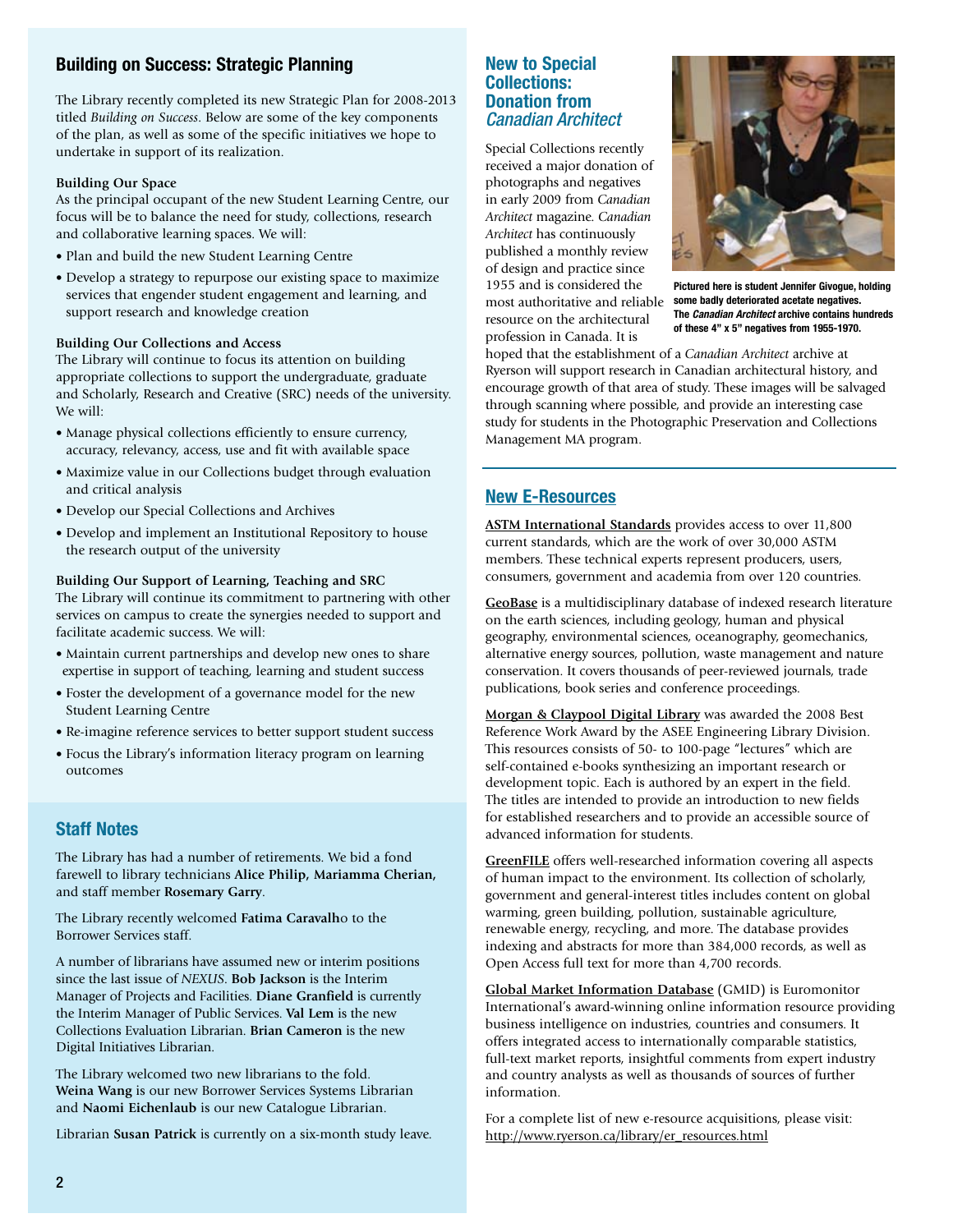### **Building on Success: Strategic Planning**

The Library recently completed its new Strategic Plan for 2008-2013 titled *Building on Success*. Below are some of the key components of the plan, as well as some of the specific initiatives we hope to undertake in support of its realization.

#### **Building Our Space**

As the principal occupant of the new Student Learning Centre, our focus will be to balance the need for study, collections, research and collaborative learning spaces. We will:

- Plan and build the new Student Learning Centre
- Develop a strategy to repurpose our existing space to maximize services that engender student engagement and learning, and support research and knowledge creation

#### **Building Our Collections and Access**

The Library will continue to focus its attention on building appropriate collections to support the undergraduate, graduate and Scholarly, Research and Creative (SRC) needs of the university. We will:

- Manage physical collections efficiently to ensure currency, accuracy, relevancy, access, use and fit with available space
- Maximize value in our Collections budget through evaluation and critical analysis
- Develop our Special Collections and Archives
- Develop and implement an Institutional Repository to house the research output of the university

#### **Building Our Support of Learning, Teaching and SRC**

The Library will continue its commitment to partnering with other services on campus to create the synergies needed to support and facilitate academic success. We will:

- Maintain current partnerships and develop new ones to share expertise in support of teaching, learning and student success
- Foster the development of a governance model for the new Student Learning Centre
- Re-imagine reference services to better support student success
- Focus the Library's information literacy program on learning outcomes

#### **Staff Notes**

The Library has had a number of retirements. We bid a fond farewell to library technicians **Alice Philip, Mariamma Cherian,** and staff member **Rosemary Garry**.

The Library recently welcomed **Fatima Caravalh**o to the Borrower Services staff.

A number of librarians have assumed new or interim positions since the last issue of *NEXUS*. **Bob Jackson** is the Interim Manager of Projects and Facilities. **Diane Granfield** is currently the Interim Manager of Public Services. **Val Lem** is the new Collections Evaluation Librarian. **Brian Cameron** is the new Digital Initiatives Librarian.

The Library welcomed two new librarians to the fold. **Weina Wang** is our new Borrower Services Systems Librarian and **Naomi Eichenlaub** is our new Catalogue Librarian.

Librarian **Susan Patrick** is currently on a six-month study leave.

#### **New to Special Collections: Donation from**  *Canadian Architect*

Special Collections recently received a major donation of photographs and negatives in early 2009 from *Canadian Architect* magazine. *Canadian Architect* has continuously published a monthly review of design and practice since 1955 and is considered the resource on the architectural profession in Canada. It is



most authoritative and reliable **some badly deteriorated acetate negatives. Pictured here is student Jennifer Givogue, holding The** *Canadian Architect* **archive contains hundreds of these 4" x 5" negatives from 1955-1970.** 

hoped that the establishment of a *Canadian Architect* archive at Ryerson will support research in Canadian architectural history, and encourage growth of that area of study. These images will be salvaged through scanning where possible, and provide an interesting case study for students in the Photographic Preservation and Collections Management MA program.

#### **[New E-Resources](http://www.ryerson.ca/library/er_resources.html)**

**[ASTM International Standards](http://ezproxy.lib.ryerson.ca/login?url=http://enterprise.astm.org)** provides access to over 11,800 current standards, which are the work of over 30,000 ASTM members. These technical experts represent producers, users, consumers, government and academia from over 120 countries.

**[GeoBase](http://ezproxy.lib.ryerson.ca/login?url=http://www.engineeringvillage2.org/controller/servlet/Controller?CID=quickSearch&database=8196&SYSTEM_NEWSESSION=true)** is a multidisciplinary database of indexed research literature on the earth sciences, including geology, human and physical geography, environmental sciences, oceanography, geomechanics, alternative energy sources, pollution, waste management and nature conservation. It covers thousands of peer-reviewed journals, trade publications, book series and conference proceedings.

**[Morgan & Claypool Digital Library](http://ezproxy.lib.ryerson.ca/login?url=http://www.morganclaypool.com/)** was awarded the 2008 Best Reference Work Award by the ASEE Engineering Library Division. This resources consists of 50- to 100-page "lectures" which are self-contained e-books synthesizing an important research or development topic. Each is authored by an expert in the field. The titles are intended to provide an introduction to new fields for established researchers and to provide an accessible source of advanced information for students.

**[GreenFILE](http://ezproxy.lib.ryerson.ca/login?url=http://search.ebscohost.com/login.asp?profile=web&defaultdb=8gh)** offers well-researched information covering all aspects of human impact to the environment. Its collection of scholarly, government and general-interest titles includes content on global warming, green building, pollution, sustainable agriculture, renewable energy, recycling, and more. The database provides indexing and abstracts for more than 384,000 records, as well as Open Access full text for more than 4,700 records.

**[Global Market Information Database](http://ezproxy.lib.ryerson.ca/login?url=http://portal.euromonitor.com/portal/server.pt)** (GMID) is Euromonitor International's award-winning online information resource providing business intelligence on industries, countries and consumers. It offers integrated access to internationally comparable statistics, full-text market reports, insightful comments from expert industry and country analysts as well as thousands of sources of further information.

For a complete list of new e-resource acquisitions, please visit: [http://www.ryerson.ca/library/er\\_resources.html](http://www.ryerson.ca/library/er_resources.html)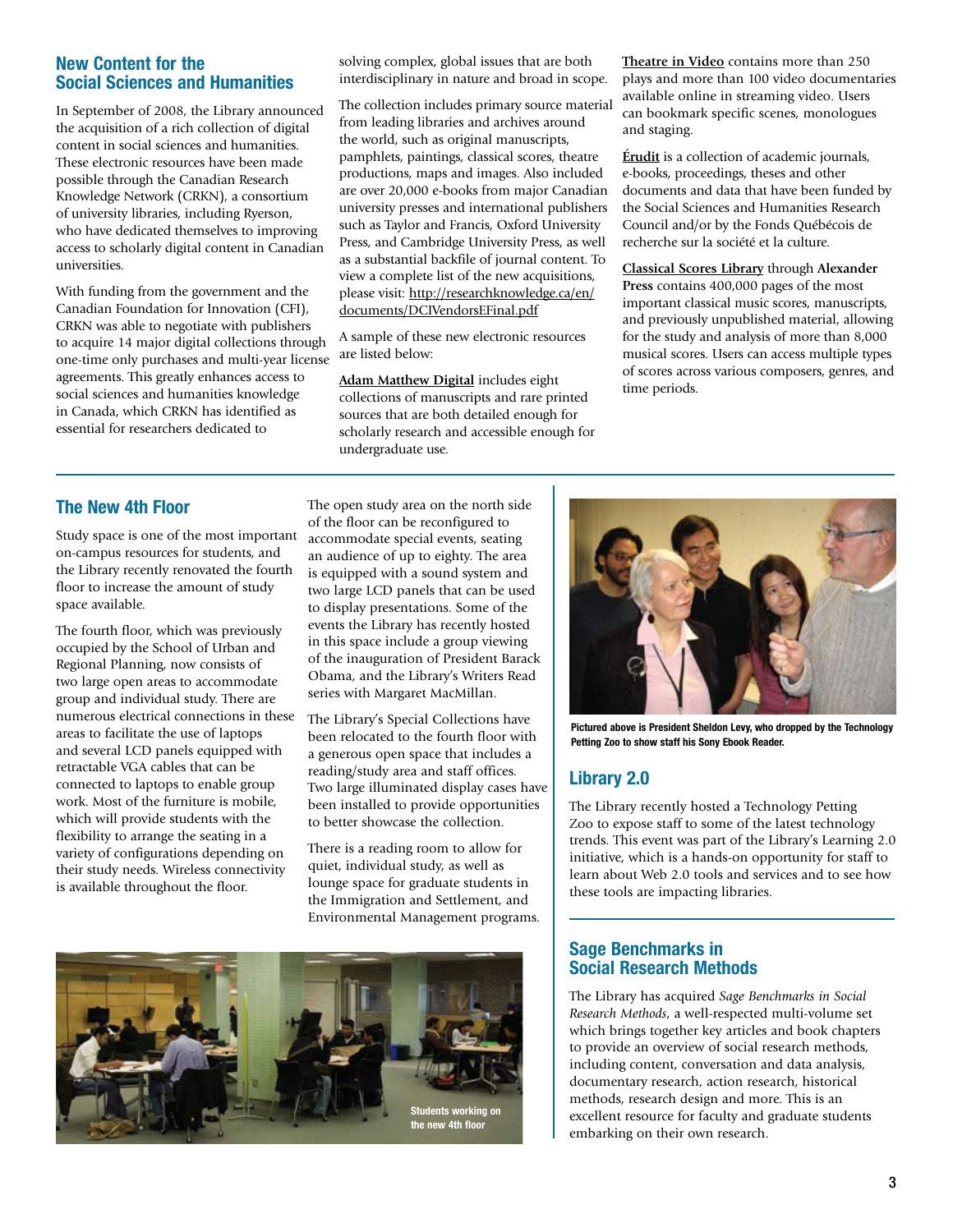#### **New Content for the Social Sciences and Humanities**

In September of 2008, the Library announced the acquisition of a rich collection of digital content in social sciences and humanities. These electronic resources have been made possible through the Canadian Research Knowledge Network (CRKN), a consortium of university libraries, including Ryerson, who have dedicated themselves to improving access to scholarly digital content in Canadian universities.

With funding from the government and the Canadian Foundation for Innovation (CFI), CRKN was able to negotiate with publishers to acquire 14 major digital collections through one-time only purchases and multi-year license agreements. This greatly enhances access to social sciences and humanities knowledge in Canada, which CRKN has identified as essential for researchers dedicated to

solving complex, global issues that are both interdisciplinary in nature and broad in scope.

The collection includes primary source material from leading libraries and archives around the world, such as original manuscripts, pamphlets, paintings, classical scores, theatre productions, maps and images. Also included are over 20,000 e-books from major Canadian university presses and international publishers such as Taylor and Francis, Oxford University Press, and Cambridge University Press, as well as a substantial backfile of journal content. To view a complete list of the new acquisitions, please visit: [http://researchknowledge.ca/en/](http://researchknowledge.ca/en/documents/DCIVendorsEFinal.pdf) [documents/DCIVendorsEFinal.pdf](http://researchknowledge.ca/en/documents/DCIVendorsEFinal.pdf)

A sample of these new electronic resources are listed below:

**[Adam Matthew Digital](http://www.ryerson.ca/library/info/databases/adam_dbs.html)** includes eight collections of manuscripts and rare printed sources that are both detailed enough for scholarly research and accessible enough for undergraduate use.

**[Theatre in Video](http://ezproxy.lib.ryerson.ca/login?url=http://ryerson.ativ.alexanderstreet.com/)** contains more than 250 plays and more than 100 video documentaries available online in streaming video. Users can bookmark specific scenes, monologues and staging.

**[Érudit](http://ezproxy.lib.ryerson.ca/login?url=http://www.erudit.org/)** is a collection of academic journals, e-books, proceedings, theses and other documents and data that have been funded by the Social Sciences and Humanities Research Council and/or by the Fonds Québécois de recherche sur la société et la culture.

**[Classical Scores Library](http://ezproxy.lib.ryerson.ca/login?url=http://shmu.alexanderstreet.com/  )** through **Alexander Press** contains 400,000 pages of the most important classical music scores, manuscripts, and previously unpublished material, allowing for the study and analysis of more than 8,000 musical scores. Users can access multiple types of scores across various composers, genres, and time periods.

## **The New 4th Floor**

Study space is one of the most important on-campus resources for students, and the Library recently renovated the fourth floor to increase the amount of study space available.

The fourth floor, which was previously occupied by the School of Urban and Regional Planning, now consists of two large open areas to accommodate group and individual study. There are numerous electrical connections in these areas to facilitate the use of laptops and several LCD panels equipped with retractable VGA cables that can be connected to laptops to enable group work. Most of the furniture is mobile, which will provide students with the flexibility to arrange the seating in a variety of configurations depending on their study needs. Wireless connectivity is available throughout the floor.

The open study area on the north side of the floor can be reconfigured to accommodate special events, seating an audience of up to eighty. The area is equipped with a sound system and two large LCD panels that can be used to display presentations. Some of the events the Library has recently hosted in this space include a group viewing of the inauguration of President Barack Obama, and the Library's Writers Read series with Margaret MacMillan.

The Library's Special Collections have been relocated to the fourth floor with a generous open space that includes a reading/study area and staff offices. Two large illuminated display cases have been installed to provide opportunities to better showcase the collection.

There is a reading room to allow for quiet, individual study, as well as lounge space for graduate students in the Immigration and Settlement, and Environmental Management programs.





**Pictured above is President Sheldon Levy, who dropped by the Technology Petting Zoo to show staff his Sony Ebook Reader.**

# **Library 2.0**

The Library recently hosted a Technology Petting Zoo to expose staff to some of the latest technology trends. This event was part of the Library's Learning 2.0 initiative, which is a hands-on opportunity for staff to learn about Web 2.0 tools and services and to see how these tools are impacting libraries.

#### **Sage Benchmarks in Social Research Methods**

The Library has acquired *Sage Benchmarks in Social Research Methods*, a well-respected multi-volume set which brings together key articles and book chapters to provide an overview of social research methods, including content, conversation and data analysis, documentary research, action research, historical methods, research design and more. This is an excellent resource for faculty and graduate students embarking on their own research.